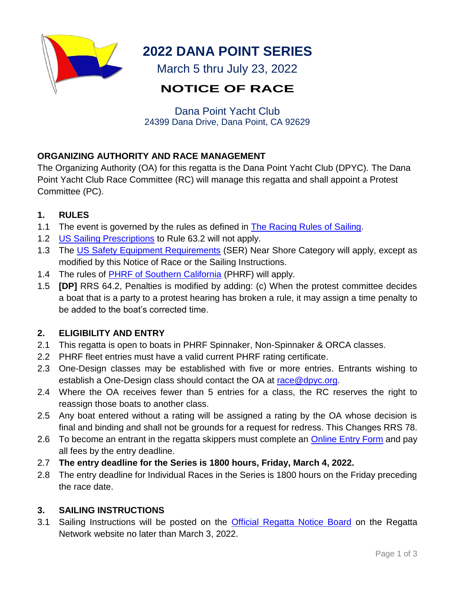

# **2022 DANA POINT SERIES**

March 5 thru July 23, 2022

# **NOTICE OF RACE**

Dana Point Yacht Club 24399 Dana Drive, Dana Point, CA 92629

# **ORGANIZING AUTHORITY AND RACE MANAGEMENT**

The Organizing Authority (OA) for this regatta is the Dana Point Yacht Club (DPYC). The Dana Point Yacht Club Race Committee (RC) will manage this regatta and shall appoint a Protest Committee (PC).

# **1. RULES**

- 1.1 The event is governed by the rules as defined in [The Racing Rules of Sailing.](https://www.sailing.org/documents/index.php)
- 1.2 [US Sailing Prescriptions](https://cdn.ussailing.org/wp-content/uploads/2018/01/2021-2024-US-Prescriptions-Final.pdf) to Rule 63.2 will not apply.
- 1.3 The [US Safety Equipment Requirements](https://www.ussailing.org/competition/offshore/safety-information/ser-world-sailing-special-regulations/) (SER) Near Shore Category will apply, except as modified by this Notice of Race or the Sailing Instructions.
- 1.4 The rules of [PHRF of Southern California](https://phrfsocal.org/) (PHRF) will apply.
- 1.5 **[DP]** RRS 64.2, Penalties is modified by adding: (c) When the protest committee decides a boat that is a party to a protest hearing has broken a rule, it may assign a time penalty to be added to the boat's corrected time.

# **2. ELIGIBILITY AND ENTRY**

- 2.1 This regatta is open to boats in PHRF Spinnaker, Non-Spinnaker & ORCA classes.
- 2.2 PHRF fleet entries must have a valid current PHRF rating certificate.
- 2.3 One-Design classes may be established with five or more entries. Entrants wishing to establish a One-Design class should contact the OA at [race@dpyc.org.](mailto:race@dpyc.org)
- 2.4 Where the OA receives fewer than 5 entries for a class, the RC reserves the right to reassign those boats to another class.
- 2.5 Any boat entered without a rating will be assigned a rating by the OA whose decision is final and binding and shall not be grounds for a request for redress. This Changes RRS 78.
- 2.6 To become an entrant in the regatta skippers must complete an [Online Entry Form](https://www.regattanetwork.com/clubmgmt/applet_registration_form.php?regatta_id=24126) and pay all fees by the entry deadline.
- 2.7 **The entry deadline for the Series is 1800 hours, Friday, March 4, 2022.**
- 2.8 The entry deadline for Individual Races in the Series is 1800 hours on the Friday preceding the race date.

# **3. SAILING INSTRUCTIONS**

3.1 Sailing Instructions will be posted on the [Official Regatta Notice Board](https://www.regattanetwork.com/event/24126#_docs) on the Regatta Network website no later than March 3, 2022.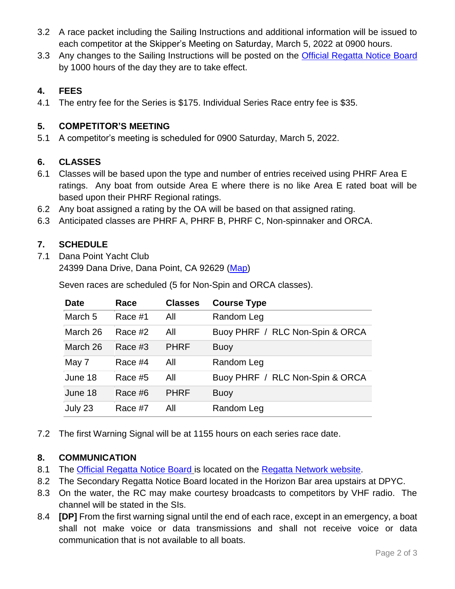- 3.2 A race packet including the Sailing Instructions and additional information will be issued to each competitor at the Skipper's Meeting on Saturday, March 5, 2022 at 0900 hours.
- 3.3 Any changes to the Sailing Instructions will be posted on the [Official Regatta Notice Board](https://www.regattanetwork.com/event/24126#_docs) by 1000 hours of the day they are to take effect.

## **4. FEES**

4.1 The entry fee for the Series is \$175. Individual Series Race entry fee is \$35.

### **5. COMPETITOR'S MEETING**

5.1 A competitor's meeting is scheduled for 0900 Saturday, March 5, 2022.

#### **6. CLASSES**

- 6.1 Classes will be based upon the type and number of entries received using PHRF Area E ratings. Any boat from outside Area E where there is no like Area E rated boat will be based upon their PHRF Regional ratings.
- 6.2 Any boat assigned a rating by the OA will be based on that assigned rating.
- 6.3 Anticipated classes are PHRF A, PHRF B, PHRF C, Non-spinnaker and ORCA.

## **7. SCHEDULE**

7.1 Dana Point Yacht Club

24399 Dana Drive, Dana Point, CA 92629 [\(Map\)](https://goo.gl/maps/ZihedzvTpMBndqE39)

**Date Race Classes Course Type** March 5 Race #1 All Random Leg March 26 Race #2 All Buoy PHRF / RLC Non-Spin & ORCA March 26 Race #3 PHRF Buoy May 7 Race #4 All Random Leg June 18 Race #5 All Buoy PHRF / RLC Non-Spin & ORCA June 18 Race #6 PHRF Buoy July 23 Race #7 All Random Leg

Seven races are scheduled (5 for Non-Spin and ORCA classes).

7.2 The first Warning Signal will be at 1155 hours on each series race date.

#### **8. COMMUNICATION**

- 8.1 The [Official Regatta Notice Board](https://www.regattanetwork.com/event/24126#_docs) is located on the [Regatta Network website.](https://www.regattanetwork.com/event/24126)
- 8.2 The Secondary Regatta Notice Board located in the Horizon Bar area upstairs at DPYC.
- 8.3 On the water, the RC may make courtesy broadcasts to competitors by VHF radio. The channel will be stated in the SIs.
- 8.4 **[DP]** From the first warning signal until the end of each race, except in an emergency, a boat shall not make voice or data transmissions and shall not receive voice or data communication that is not available to all boats.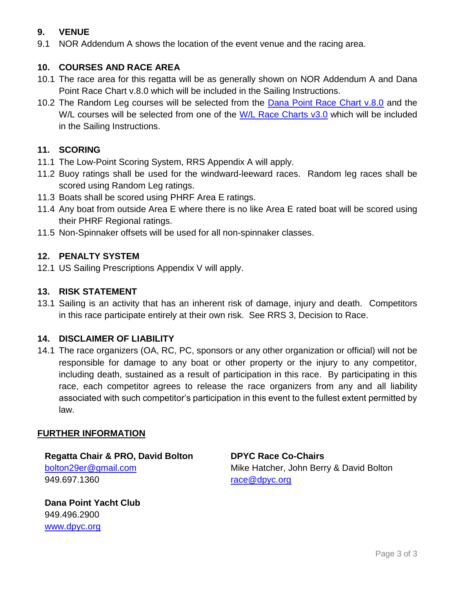## **9. VENUE**

9.1 NOR Addendum A shows the location of the event venue and the racing area.

## **10. COURSES AND RACE AREA**

- 10.1 The race area for this regatta will be as generally shown on NOR Addendum A and Dana Point Race Chart v.8.0 which will be included in the Sailing Instructions.
- 10.2 The Random Leg courses will be selected from the [Dana Point Race Chart v.8.0](https://dpyc.org/getmedia/058b4fe6-d2f1-4daf-990e-8f15db1ffb83/Race_Course_Chart_2020-09-08_1.aspx) and the W/L courses will be selected from one of the [W/L Race Charts v3.0](https://dpyc.org/On_the_Water/Racing/Course_Charts_Race_Links) which will be included in the Sailing Instructions.

## **11. SCORING**

- 11.1 The Low-Point Scoring System, RRS Appendix A will apply.
- 11.2 Buoy ratings shall be used for the windward-leeward races. Random leg races shall be scored using Random Leg ratings.
- 11.3 Boats shall be scored using PHRF Area E ratings.
- 11.4 Any boat from outside Area E where there is no like Area E rated boat will be scored using their PHRF Regional ratings.
- 11.5 Non-Spinnaker offsets will be used for all non-spinnaker classes.

#### **12. PENALTY SYSTEM**

12.1 US Sailing Prescriptions Appendix V will apply.

### **13. RISK STATEMENT**

13.1 Sailing is an activity that has an inherent risk of damage, injury and death. Competitors in this race participate entirely at their own risk. See RRS 3, Decision to Race.

#### **14. DISCLAIMER OF LIABILITY**

14.1 The race organizers (OA, RC, PC, sponsors or any other organization or official) will not be responsible for damage to any boat or other property or the injury to any competitor, including death, sustained as a result of participation in this race. By participating in this race, each competitor agrees to release the race organizers from any and all liability associated with such competitor's participation in this event to the fullest extent permitted by law.

#### **FURTHER INFORMATION**

**Regatta Chair & PRO, David Bolton** [bolton29er@gmail.com](mailto:bolton29er@gmail.com) 949.697.1360

**Dana Point Yacht Club** 949.496.2900 [www.dpyc.org](http://www.dpyc.org/)

**DPYC Race Co-Chairs** Mike Hatcher, John Berry & David Bolton [race@dpyc.org](mailto:race@dpyc.org?subject=Harbor%20Championships)